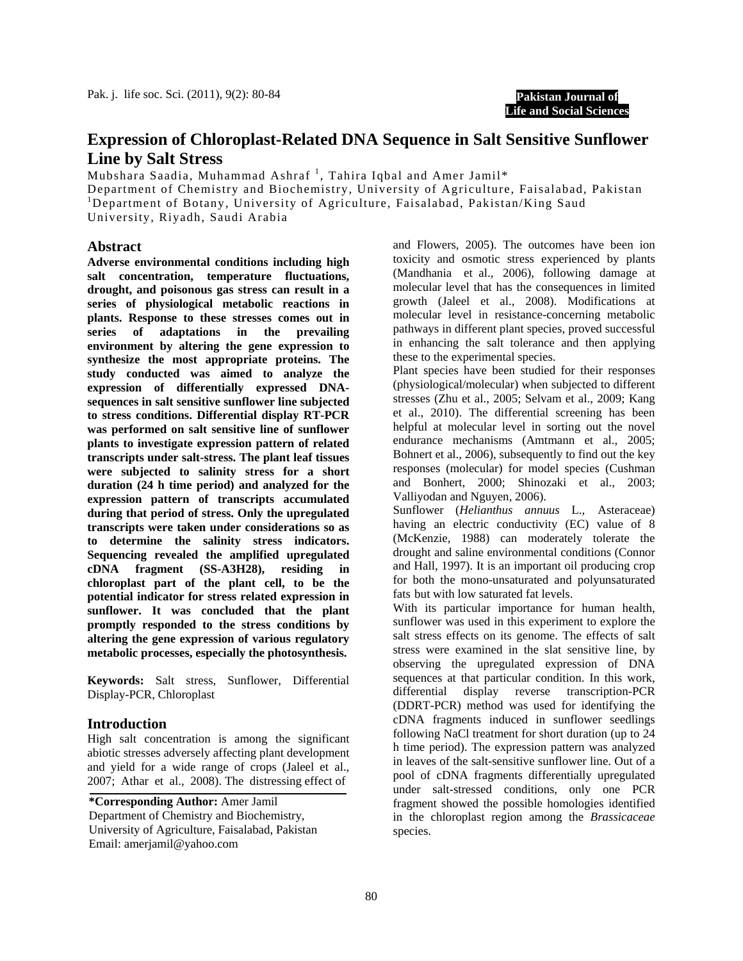**Pakistan Journal of Life and Social Sciences**

# **Expression of Chloroplast-Related DNA Sequence in Salt Sensitive Sunflower Line by Salt Stress**

Mubshara Saadia, Muhammad Ashraf<sup>1</sup>, Tahira Iqbal and Amer Jamil\*

Department of Chemistry and Biochemistry, University of Agriculture, Faisalabad, Pakistan <sup>1</sup>Department of Botany, University of Agriculture, Faisalabad, Pakistan/King Saud

University, Riyadh, Saudi Arabia

## **Abstract**

**Adverse environmental conditions including high salt concentration, temperature fluctuations, drought, and poisonous gas stress can result in a series of physiological metabolic reactions in plants. Response to these stresses comes out in series of adaptations in the prevailing environment by altering the gene expression to synthesize the most appropriate proteins. The study conducted was aimed to analyze the expression of differentially expressed DNAsequences in salt sensitive sunflower line subjected to stress conditions. Differential display RT-PCR was performed on salt sensitive line of sunflower plants to investigate expression pattern of related transcripts under salt-stress. The plant leaf tissues were subjected to salinity stress for a short duration (24 h time period) and analyzed for the expression pattern of transcripts accumulated during that period of stress. Only the upregulated transcripts were taken under considerations so as to determine the salinity stress indicators. Sequencing revealed the amplified upregulated cDNA fragment (SS-A3H28), residing in chloroplast part of the plant cell, to be the potential indicator for stress related expression in sunflower. It was concluded that the plant promptly responded to the stress conditions by altering the gene expression of various regulatory metabolic processes, especially the photosynthesis.**

**Keywords:** Salt stress, Sunflower, Differential Display-PCR, Chloroplast

# **Introduction**

High salt concentration is among the significant abiotic stresses adversely affecting plant development and yield for a wide range of crops (Jaleel et al., 2007; Athar et al., 2008). The distressing effect of

Email: amerjamil@yahoo.com **\*Corresponding Author:** Amer Jamil Department of Chemistry and Biochemistry, University of Agriculture, Faisalabad, Pakistan

and Flowers, 2005). The outcomes have been ion toxicity and osmotic stress experienced by plants (Mandhania et al., 2006), following damage at molecular level that has the consequences in limited growth (Jaleel et al., 2008). Modifications at molecular level in resistance-concerning metabolic pathways in different plant species, proved successful in enhancing the salt tolerance and then applying these to the experimental species.

Plant species have been studied for their responses (physiological/molecular) when subjected to different stresses (Zhu et al., 2005; Selvam et al., 2009; Kang et al., 2010). The differential screening has been helpful at molecular level in sorting out the novel endurance mechanisms (Amtmann et al., 2005; Bohnert et al., 2006), subsequently to find out the key responses (molecular) for model species (Cushman and Bonhert, 2000; Shinozaki et al., 2003; Valliyodan and Nguyen, 2006).

Sunflower (*Helianthus annuus* L., Asteraceae) having an electric conductivity (EC) value of 8 (McKenzie, 1988) can moderately tolerate the drought and saline environmental conditions (Connor and Hall, 1997). It is an important oil producing crop for both the mono-unsaturated and polyunsaturated fats but with low saturated fat levels.

With its particular importance for human health, sunflower was used in this experiment to explore the salt stress effects on its genome. The effects of salt stress were examined in the slat sensitive line, by observing the upregulated expression of DNA sequences at that particular condition. In this work, differential display reverse transcription-PCR (DDRT-PCR) method was used for identifying the cDNA fragments induced in sunflower seedlings following NaCl treatment for short duration (up to 24 h time period). The expression pattern was analyzed in leaves of the salt-sensitive sunflower line. Out of a pool of cDNA fragments differentially upregulated under salt-stressed conditions, only one PCR fragment showed the possible homologies identified in the chloroplast region among the *Brassicaceae* species.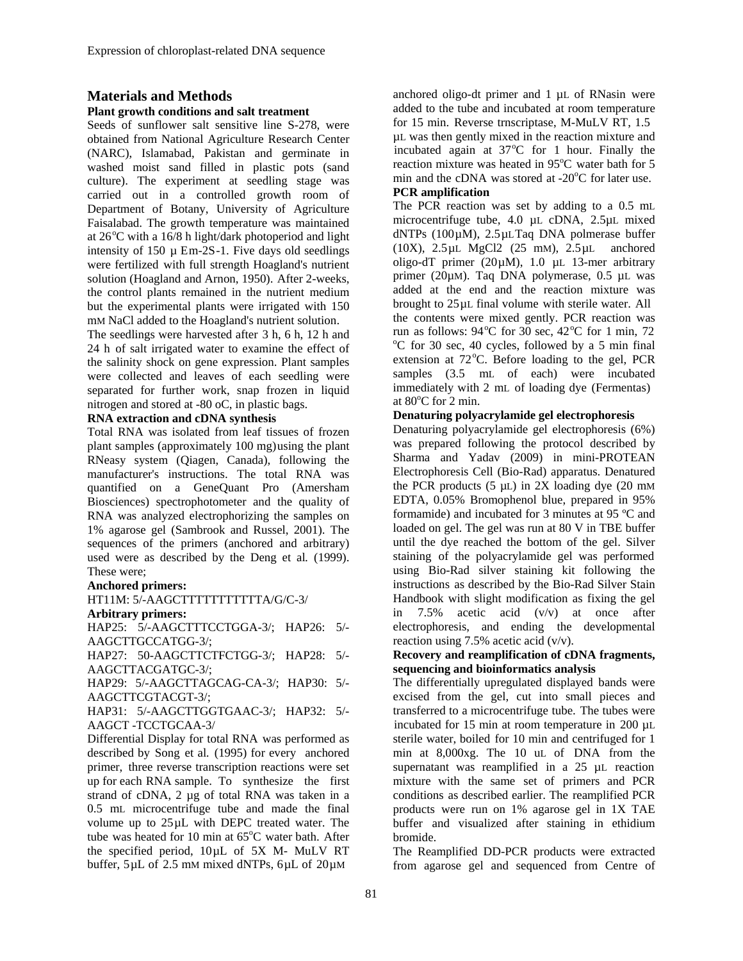# **Materials and Methods**

### **Plant growth conditions and salt treatment**

Seeds of sunflower salt sensitive line S-278, were obtained from National Agriculture Research Center (NARC), Islamabad, Pakistan and germinate in washed moist sand filled in plastic pots (sand culture). The experiment at seedling stage was carried out in a controlled growth room of Department of Botany, University of Agriculture Faisalabad. The growth temperature was maintained at  $26^{\circ}$ C with a 16/8 h light/dark photoperiod and light intensity of  $150 \mu$  Em-2S-1. Five days old seedlings were fertilized with full strength Hoagland's nutrient solution (Hoagland and Arnon, 1950). After 2-weeks, the control plants remained in the nutrient medium but the experimental plants were irrigated with 150 mM NaCl added to the Hoagland's nutrient solution.

The seedlings were harvested after 3 h, 6 h, 12 h and 24 h of salt irrigated water to examine the effect of the salinity shock on gene expression. Plant samples were collected and leaves of each seedling were separated for further work, snap frozen in liquid nitrogen and stored at -80 oC, in plastic bags.

### **RNA extraction and cDNA synthesis**

Total RNA was isolated from leaf tissues of frozen plant samples (approximately 100 mg)using the plant RNeasy system (Qiagen, Canada), following the manufacturer's instructions. The total RNA was quantified on a GeneQuant Pro (Amersham Biosciences) spectrophotometer and the quality of RNA was analyzed electrophorizing the samples on 1% agarose gel (Sambrook and Russel, 2001). The sequences of the primers (anchored and arbitrary) used were as described by the Deng et al*.* (1999). These were;

#### **Anchored primers:**

HT11M: 5/-AAGCTTTTTTTTTTTA/G/C-3/

### **Arbitrary primers:**

HAP25: 5/-AAGCTTTCCTGGA-3/; HAP26: 5/- AAGCTTGCCATGG-3/;

HAP27: 50-AAGCTTCTFCTGG-3/; HAP28: 5/- AAGCTTACGATGC-3/;

HAP29: 5/-AAGCTTAGCAG-CA-3/; HAP30: 5/- AAGCTTCGTACGT-3/;

HAP31: 5/-AAGCTTGGTGAAC-3/; HAP32: 5/- AAGCT -TCCTGCAA-3/

Differential Display for total RNA was performed as described by Song et al*.* (1995) for every anchored primer, three reverse transcription reactions were set up for each RNA sample. To synthesize the first strand of cDNA, 2 µg of total RNA was taken in a 0.5 mL microcentrifuge tube and made the final volume up to 25µL with DEPC treated water. The tube was heated for 10 min at 65°C water bath. After the specified period, 10µL of 5X M- MuLV RT buffer, 5µL of 2.5 mM mixed dNTPs, 6µL of 20µM

anchored oligo-dt primer and 1 µL of RNasin were added to the tube and incubated at room temperature for 15 min. Reverse trnscriptase, M-MuLV RT, 1.5 µL was then gently mixed in the reaction mixture and incubated again at  $37^{\circ}$ C for 1 hour. Finally the reaction mixture was heated in 95°C water bath for 5 min and the cDNA was stored at -20°C for later use.

# **PCR amplification**

The PCR reaction was set by adding to a 0.5 mL microcentrifuge tube, 4.0 µL cDNA, 2.5µL mixed dNTPs (100µM), 2.5µLTaq DNA polmerase buffer (10X), 2.5µL MgCl2 (25 mM), 2.5µL anchored oligo-dT primer ( $20\mu$ M), 1.0  $\mu$ L 13-mer arbitrary primer (20µM). Taq DNA polymerase, 0.5 µL was added at the end and the reaction mixture was brought to 25µL final volume with sterile water. All the contents were mixed gently. PCR reaction was run as follows:  $94^{\circ}$ C for  $30^{\circ}$  sec,  $42^{\circ}$ C for 1 min, 72 C for 30 sec, 40 cycles, followed by a 5 min final extension at 72°C. Before loading to the gel, PCR samples (3.5 mL of each) were incubated immediately with 2 mL of loading dye (Fermentas) at  $80^{\circ}$ C for 2 min.

### **Denaturing polyacrylamide gel electrophoresis**

Denaturing polyacrylamide gel electrophoresis (6%) was prepared following the protocol described by Sharma and Yadav (2009) in mini-PROTEAN Electrophoresis Cell (Bio-Rad) apparatus. Denatured the PCR products  $(5 \mu L)$  in 2X loading dye  $(20 \mu M)$ EDTA, 0.05% Bromophenol blue, prepared in 95% formamide) and incubated for 3 minutes at 95 ºC and loaded on gel. The gel was run at 80 V in TBE buffer until the dye reached the bottom of the gel. Silver staining of the polyacrylamide gel was performed using Bio-Rad silver staining kit following the instructions as described by the Bio-Rad Silver Stain Handbook with slight modification as fixing the gel in 7.5% acetic acid (v/v) at once after electrophoresis, and ending the developmental reaction using 7.5% acetic acid (v/v).

## **Recovery and reamplification of cDNA fragments, sequencing and bioinformatics analysis**

The differentially upregulated displayed bands were excised from the gel, cut into small pieces and transferred to a microcentrifuge tube. The tubes were incubated for 15 min at room temperature in 200 µL sterile water, boiled for 10 min and centrifuged for 1 min at 8,000xg. The 10 uL of DNA from the supernatant was reamplified in a 25 µL reaction mixture with the same set of primers and PCR conditions as described earlier. The reamplified PCR products were run on 1% agarose gel in 1X TAE buffer and visualized after staining in ethidium bromide.

The Reamplified DD-PCR products were extracted from agarose gel and sequenced from Centre of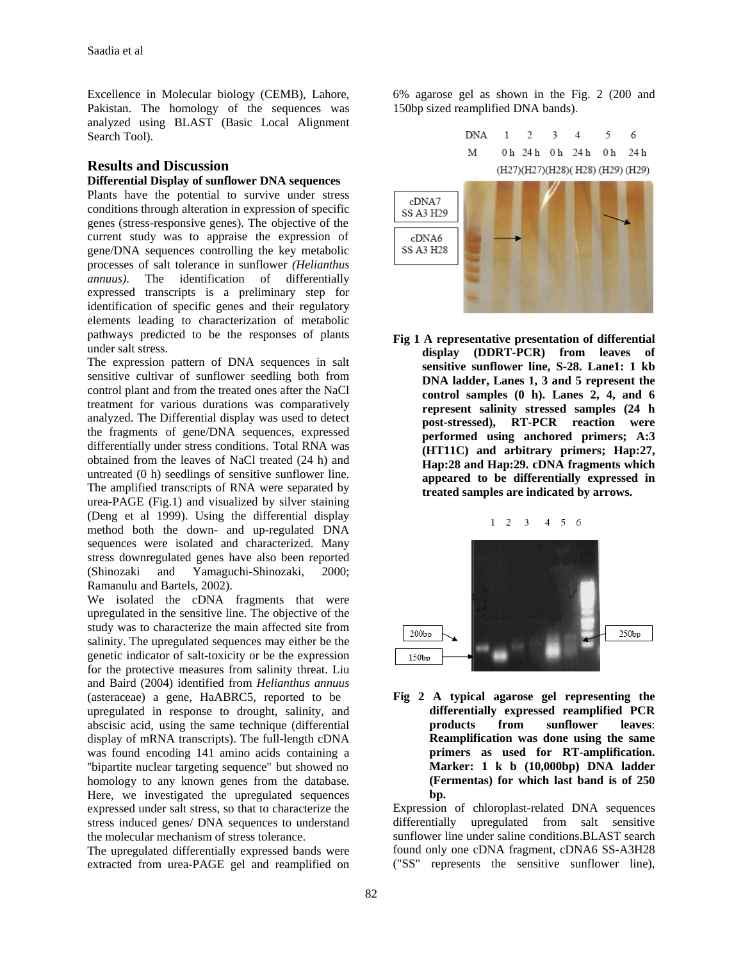Excellence in Molecular biology (CEMB), Lahore, Pakistan. The homology of the sequences was analyzed using BLAST (Basic Local Alignment Search Tool).

# **Results and Discussion**

### **Differential Display of sunflower DNA sequences**

Plants have the potential to survive under stress conditions through alteration in expression of specific genes (stress-responsive genes). The objective of the current study was to appraise the expression of gene/DNA sequences controlling the key metabolic processes of salt tolerance in sunflower *(Helianthus annuus)*. The identification of differentially expressed transcripts is a preliminary step for identification of specific genes and their regulatory elements leading to characterization of metabolic pathways predicted to be the responses of plants under salt stress.

The expression pattern of DNA sequences in salt sensitive cultivar of sunflower seedling both from control plant and from the treated ones after the NaCl treatment for various durations was comparatively analyzed. The Differential display was used to detect the fragments of gene/DNA sequences, expressed differentially under stress conditions. Total RNA was obtained from the leaves of NaCl treated (24 h) and untreated (0 h) seedlings of sensitive sunflower line. The amplified transcripts of RNA were separated by urea-PAGE (Fig.1) and visualized by silver staining (Deng et al 1999). Using the differential display method both the down- and up-regulated DNA sequences were isolated and characterized. Many stress downregulated genes have also been reported (Shinozaki and Yamaguchi-Shinozaki, 2000; Ramanulu and Bartels, 2002).

We isolated the cDNA fragments that were upregulated in the sensitive line. The objective of the study was to characterize the main affected site from salinity. The upregulated sequences may either be the genetic indicator of salt-toxicity or be the expression for the protective measures from salinity threat. Liu and Baird (2004) identified from *Helianthus annuus* (asteraceae) a gene, HaABRC5, reported to be upregulated in response to drought, salinity, and abscisic acid, using the same technique (differential display of mRNA transcripts). The full-length cDNA was found encoding 141 amino acids containing a ''bipartite nuclear targeting sequence" but showed no homology to any known genes from the database. Here, we investigated the upregulated sequences expressed under salt stress, so that to characterize the stress induced genes/ DNA sequences to understand the molecular mechanism of stress tolerance.

The upregulated differentially expressed bands were extracted from urea-PAGE gel and reamplified on

6% agarose gel as shown in the Fig. 2 (200 and 150bp sized reamplified DNA bands).



**Fig 1 A representative presentation of differential display (DDRT-PCR) from leaves of sensitive sunflower line, S-28. Lane1: 1 kb DNA ladder, Lanes 1, 3 and 5 represent the control samples (0 h). Lanes 2, 4, and 6 represent salinity stressed samples (24 h post-stressed), RT-PCR reaction were performed using anchored primers; A:3 (HT11C) and arbitrary primers; Hap:27, Hap:28 and Hap:29. cDNA fragments which appeared to be differentially expressed in treated samples are indicated by arrows.**



**Fig 2 A typical agarose gel representing the differentially expressed reamplified PCR products from sunflower leaves**: **Reamplification was done using the same primers as used for RT-amplification. Marker: 1 k b (10,000bp) DNA ladder (Fermentas) for which last band is of 250 bp.**

Expression of chloroplast-related DNA sequences differentially upregulated from salt sensitive sunflower line under saline conditions.BLAST search found only one cDNA fragment, cDNA6 SS-A3H28 ("SS" represents the sensitive sunflower line),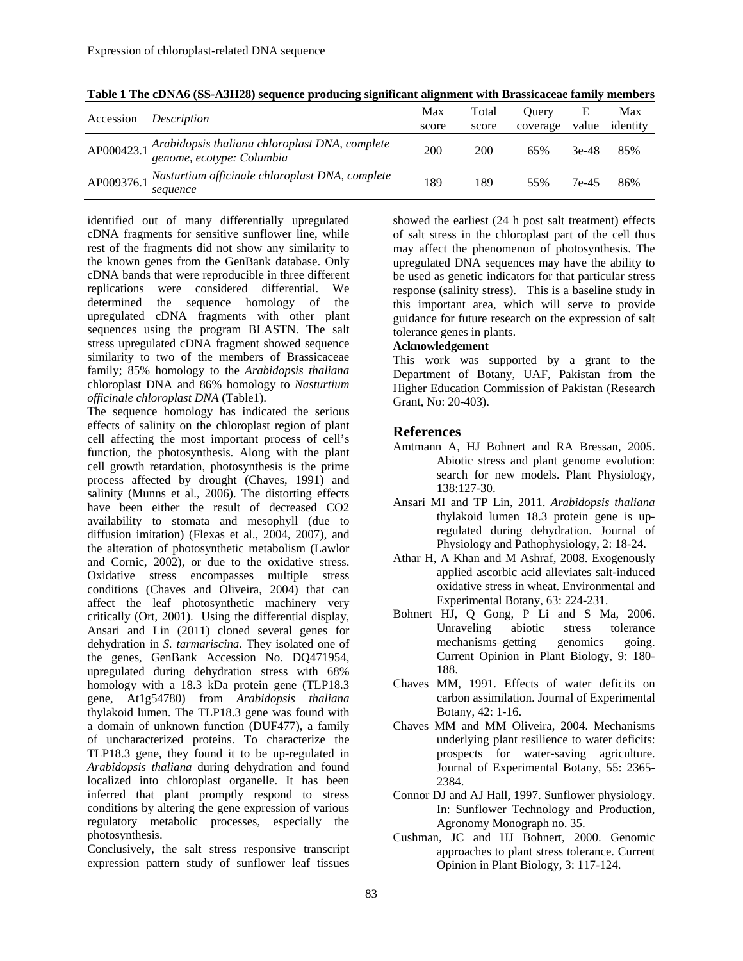| Accession  | <i>Description</i>                                                          | Max<br>score | Total<br>score | <b>Ouerv</b><br>coverage | Е<br>value | Max<br>identity |
|------------|-----------------------------------------------------------------------------|--------------|----------------|--------------------------|------------|-----------------|
| AP000423.1 | Arabidopsis thaliana chloroplast DNA, complete<br>genome, ecotype: Columbia | 200          | 200            | 65%                      | $3e-48$    | 85%             |
| AP009376.1 | Nasturtium officinale chloroplast DNA, complete<br>sequence                 | 189          | 189            | 55%                      | 7e-45      | 86%             |

**Table 1 The cDNA6 (SS-A3H28) sequence producing significant alignment with Brassicaceae family members** 

identified out of many differentially upregulated cDNA fragments for sensitive sunflower line, while rest of the fragments did not show any similarity to the known genes from the GenBank database. Only cDNA bands that were reproducible in three different replications were considered differential. We determined the sequence homology of the upregulated cDNA fragments with other plant sequences using the program BLASTN. The salt stress upregulated cDNA fragment showed sequence similarity to two of the members of Brassicaceae family; 85% homology to the *Arabidopsis thaliana*  chloroplast DNA and 86% homology to *Nasturtium officinale chloroplast DNA* (Table1).

The sequence homology has indicated the serious effects of salinity on the chloroplast region of plant cell affecting the most important process of cell's function, the photosynthesis. Along with the plant cell growth retardation, photosynthesis is the prime process affected by drought (Chaves, 1991) and salinity (Munns et al., 2006). The distorting effects have been either the result of decreased CO2 availability to stomata and mesophyll (due to diffusion imitation) (Flexas et al., 2004, 2007), and the alteration of photosynthetic metabolism (Lawlor and Cornic, 2002), or due to the oxidative stress. Oxidative stress encompasses multiple stress conditions (Chaves and Oliveira, 2004) that can affect the leaf photosynthetic machinery very critically (Ort, 2001). Using the differential display, Ansari and Lin (2011) cloned several genes for dehydration in *S. tarmariscina*. They isolated one of the genes, GenBank Accession No. DQ471954, upregulated during dehydration stress with 68% homology with a 18.3 kDa protein gene (TLP18.3 gene, At1g54780) from *Arabidopsis thaliana*  thylakoid lumen. The TLP18.3 gene was found with a domain of unknown function (DUF477), a family of uncharacterized proteins. To characterize the TLP18.3 gene, they found it to be up-regulated in *Arabidopsis thaliana* during dehydration and found localized into chloroplast organelle. It has been inferred that plant promptly respond to stress conditions by altering the gene expression of various regulatory metabolic processes, especially the photosynthesis.

Conclusively, the salt stress responsive transcript expression pattern study of sunflower leaf tissues

showed the earliest (24 h post salt treatment) effects of salt stress in the chloroplast part of the cell thus may affect the phenomenon of photosynthesis. The upregulated DNA sequences may have the ability to be used as genetic indicators for that particular stress response (salinity stress). This is a baseline study in this important area, which will serve to provide guidance for future research on the expression of salt tolerance genes in plants.

#### **Acknowledgement**

This work was supported by a grant to the Department of Botany, UAF, Pakistan from the Higher Education Commission of Pakistan (Research Grant, No: 20-403).

#### **References**

- Amtmann A, HJ Bohnert and RA Bressan, 2005. Abiotic stress and plant genome evolution: search for new models. Plant Physiology, 138:127-30.
- Ansari MI and TP Lin, 2011. *Arabidopsis thaliana*  thylakoid lumen 18.3 protein gene is upregulated during dehydration. Journal of Physiology and Pathophysiology, 2: 18-24.
- Athar H, A Khan and M Ashraf, 2008. Exogenously applied ascorbic acid alleviates salt-induced oxidative stress in wheat. Environmental and Experimental Botany, 63: 224-231.
- Bohnert HJ, Q Gong, P Li and S Ma, 2006. Unraveling abiotic stress tolerance mechanisms–getting genomics going. Current Opinion in Plant Biology, 9: 180- 188.
- Chaves MM, 1991. Effects of water deficits on carbon assimilation. Journal of Experimental Botany, 42: 1-16.
- Chaves MM and MM Oliveira, 2004. Mechanisms underlying plant resilience to water deficits: prospects for water-saving agriculture. Journal of Experimental Botany, 55: 2365- 2384.
- Connor DJ and AJ Hall, 1997. Sunflower physiology. In: Sunflower Technology and Production, Agronomy Monograph no. 35.
- Cushman, JC and HJ Bohnert, 2000. Genomic approaches to plant stress tolerance. Current Opinion in Plant Biology, 3: 117-124.